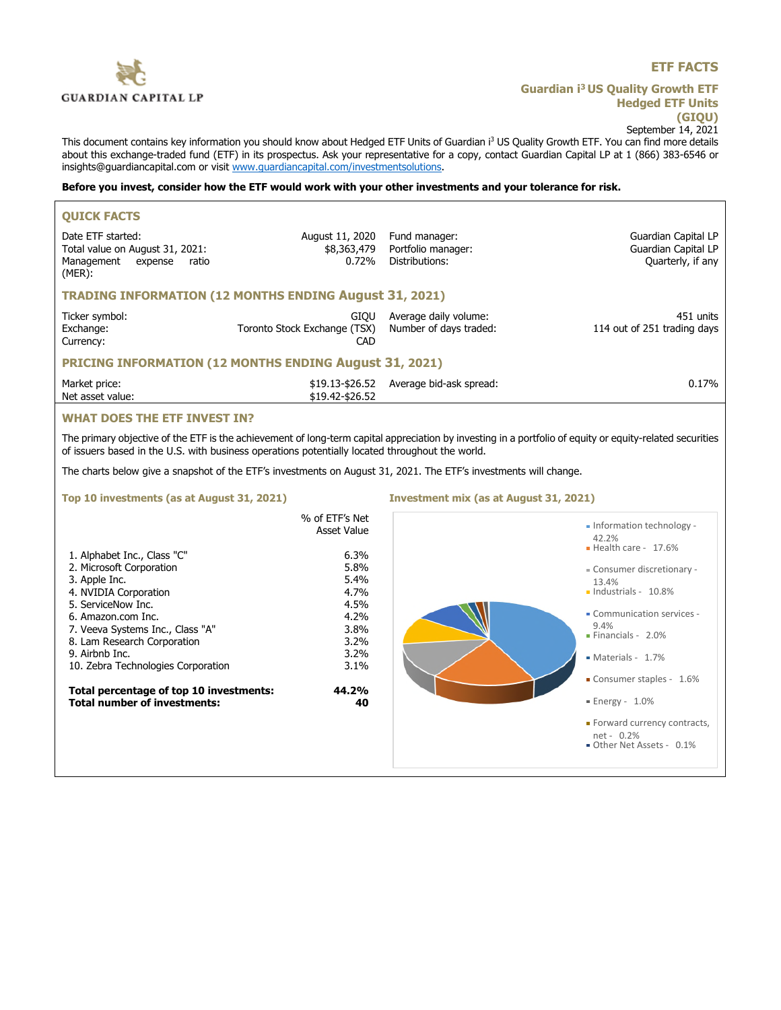

## **ETF FACTS**

**Guardian i<sup>3</sup>US Quality Growth ETF Hedged ETF Units (GIQU)** September 14, 2021

This document contains key information you should know about Hedged ETF Units of Guardian i<sup>3</sup> US Quality Growth ETF. You can find more details about this exchange-traded fund (ETF) in its prospectus. Ask your representative for a copy, contact Guardian Capital LP at 1 (866) 383-6546 or insights@guardiancapital.com or visit www.guardiancapital.com/investmentsolutions.

# **Before you invest, consider how the ETF would work with your other investments and your tolerance for risk.**

| <b>OUICK FACTS</b>                                                                                                                                                                                                                                                                                                                                         |                                                                                                                              |                                                       |                                                                                                                                                                                                                                                                                                           |  |
|------------------------------------------------------------------------------------------------------------------------------------------------------------------------------------------------------------------------------------------------------------------------------------------------------------------------------------------------------------|------------------------------------------------------------------------------------------------------------------------------|-------------------------------------------------------|-----------------------------------------------------------------------------------------------------------------------------------------------------------------------------------------------------------------------------------------------------------------------------------------------------------|--|
| Date ETF started:<br>Total value on August 31, 2021:<br>Management<br>expense<br>ratio<br>$(MER)$ :                                                                                                                                                                                                                                                        | August 11, 2020<br>\$8,363,479<br>0.72%                                                                                      | Fund manager:<br>Portfolio manager:<br>Distributions: | Guardian Capital LP<br>Guardian Capital LP<br>Quarterly, if any                                                                                                                                                                                                                                           |  |
| <b>TRADING INFORMATION (12 MONTHS ENDING August 31, 2021)</b>                                                                                                                                                                                                                                                                                              |                                                                                                                              |                                                       |                                                                                                                                                                                                                                                                                                           |  |
| Ticker symbol:<br>Exchange:<br>Currency:                                                                                                                                                                                                                                                                                                                   | <b>GIOU</b><br>Toronto Stock Exchange (TSX)<br>CAD                                                                           | Average daily volume:<br>Number of days traded:       | 451 units<br>114 out of 251 trading days                                                                                                                                                                                                                                                                  |  |
| <b>PRICING INFORMATION (12 MONTHS ENDING August 31, 2021)</b>                                                                                                                                                                                                                                                                                              |                                                                                                                              |                                                       |                                                                                                                                                                                                                                                                                                           |  |
| Market price:<br>Net asset value:                                                                                                                                                                                                                                                                                                                          | \$19.42-\$26.52                                                                                                              | \$19.13-\$26.52 Average bid-ask spread:               | 0.17%                                                                                                                                                                                                                                                                                                     |  |
| <b>WHAT DOES THE ETF INVEST IN?</b>                                                                                                                                                                                                                                                                                                                        |                                                                                                                              |                                                       |                                                                                                                                                                                                                                                                                                           |  |
| of issuers based in the U.S. with business operations potentially located throughout the world.                                                                                                                                                                                                                                                            |                                                                                                                              |                                                       | The primary objective of the ETF is the achievement of long-term capital appreciation by investing in a portfolio of equity or equity-related securities                                                                                                                                                  |  |
| The charts below give a snapshot of the ETF's investments on August 31, 2021. The ETF's investments will change.                                                                                                                                                                                                                                           |                                                                                                                              |                                                       |                                                                                                                                                                                                                                                                                                           |  |
|                                                                                                                                                                                                                                                                                                                                                            |                                                                                                                              |                                                       |                                                                                                                                                                                                                                                                                                           |  |
| Top 10 investments (as at August 31, 2021)                                                                                                                                                                                                                                                                                                                 |                                                                                                                              | Investment mix (as at August 31, 2021)                |                                                                                                                                                                                                                                                                                                           |  |
| 1. Alphabet Inc., Class "C"<br>2. Microsoft Corporation<br>3. Apple Inc.<br>4. NVIDIA Corporation<br>5. ServiceNow Inc.<br>6. Amazon.com Inc.<br>7. Veeva Systems Inc., Class "A"<br>8. Lam Research Corporation<br>9. Airbnb Inc.<br>10. Zebra Technologies Corporation<br>Total percentage of top 10 investments:<br><b>Total number of investments:</b> | % of ETF's Net<br>Asset Value<br>6.3%<br>5.8%<br>5.4%<br>4.7%<br>4.5%<br>4.2%<br>3.8%<br>3.2%<br>3.2%<br>3.1%<br>44.2%<br>40 |                                                       | - Information technology -<br>42.2%<br>- Health care - 17.6%<br>- Consumer discretionary -<br>13.4%<br>· Industrials - 10.8%<br>• Communication services -<br>9.4%<br>· Financials - 2.0%<br>Materials - 1.7%<br>Consumer staples - 1.6%<br>$\blacksquare$ Energy - 1.0%<br>· Forward currency contracts, |  |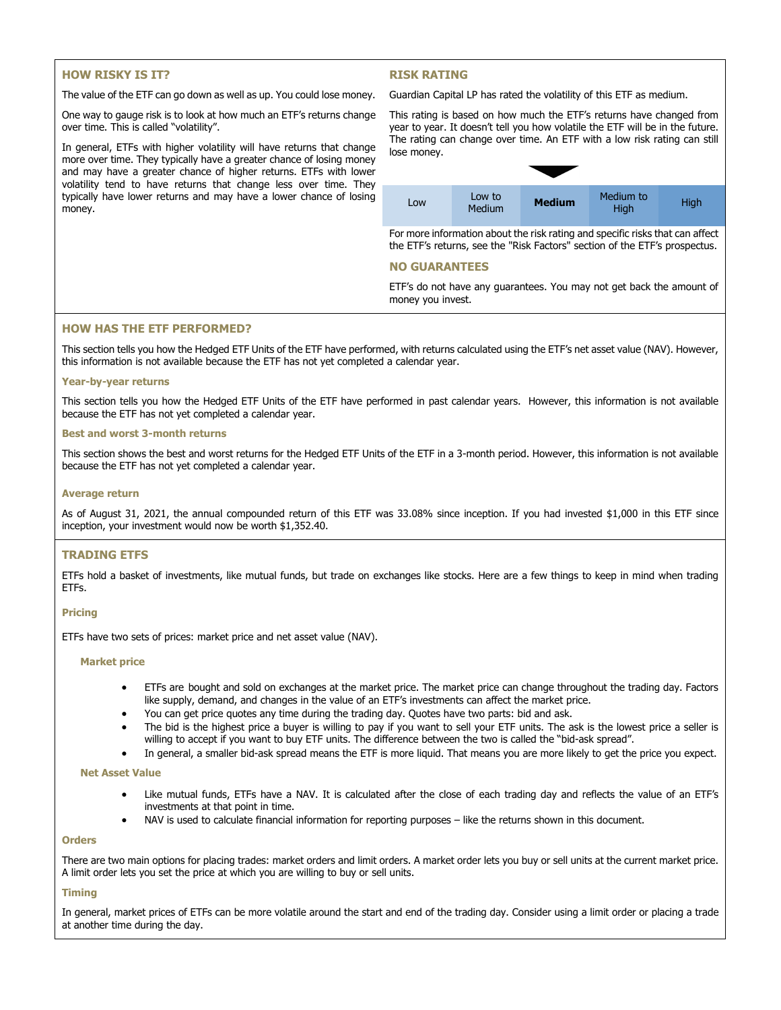## **HOW RISKY IS IT?**

## **RISK RATING**

The value of the ETF can go down as well as up. You could lose money.

One way to gauge risk is to look at how much an ETF's returns change over time. This is called "volatility".

In general, ETFs with higher volatility will have returns that change more over time. They typically have a greater chance of losing money and may have a greater chance of higher returns. ETFs with lower volatility tend to have returns that change less over time. They typically have lower returns and may have a lower chance of losing money.

Guardian Capital LP has rated the volatility of this ETF as medium.



For more information about the risk rating and specific risks that can affect the ETF's returns, see the "Risk Factors" section of the ETF's prospectus.

## **NO GUARANTEES**

ETF's do not have any guarantees. You may not get back the amount of money you invest.

### **HOW HAS THE ETF PERFORMED?**

This section tells you how the Hedged ETF Units of the ETF have performed, with returns calculated using the ETF's net asset value (NAV). However, this information is not available because the ETF has not yet completed a calendar year.

#### **Year-by-year returns**

This section tells you how the Hedged ETF Units of the ETF have performed in past calendar years. However, this information is not available because the ETF has not yet completed a calendar year.

#### **Best and worst 3-month returns**

This section shows the best and worst returns for the Hedged ETF Units of the ETF in a 3-month period. However, this information is not available because the ETF has not yet completed a calendar year.

#### **Average return**

As of August 31, 2021, the annual compounded return of this ETF was 33.08% since inception. If you had invested \$1,000 in this ETF since inception, your investment would now be worth \$1,352.40.

### **TRADING ETFS**

ETFs hold a basket of investments, like mutual funds, but trade on exchanges like stocks. Here are a few things to keep in mind when trading ETFs.

### **Pricing**

ETFs have two sets of prices: market price and net asset value (NAV).

#### **Market price**

- ETFs are bought and sold on exchanges at the market price. The market price can change throughout the trading day. Factors like supply, demand, and changes in the value of an ETF's investments can affect the market price.
- You can get price quotes any time during the trading day. Quotes have two parts: bid and ask.
- The bid is the highest price a buyer is willing to pay if you want to sell your ETF units. The ask is the lowest price a seller is willing to accept if you want to buy ETF units. The difference between the two is called the "bid-ask spread".
- In general, a smaller bid-ask spread means the ETF is more liquid. That means you are more likely to get the price you expect.

#### **Net Asset Value**

- Like mutual funds, ETFs have a NAV. It is calculated after the close of each trading day and reflects the value of an ETF's investments at that point in time.
- NAV is used to calculate financial information for reporting purposes like the returns shown in this document.

#### **Orders**

There are two main options for placing trades: market orders and limit orders. A market order lets you buy or sell units at the current market price. A limit order lets you set the price at which you are willing to buy or sell units.

#### **Timing**

In general, market prices of ETFs can be more volatile around the start and end of the trading day. Consider using a limit order or placing a trade at another time during the day.